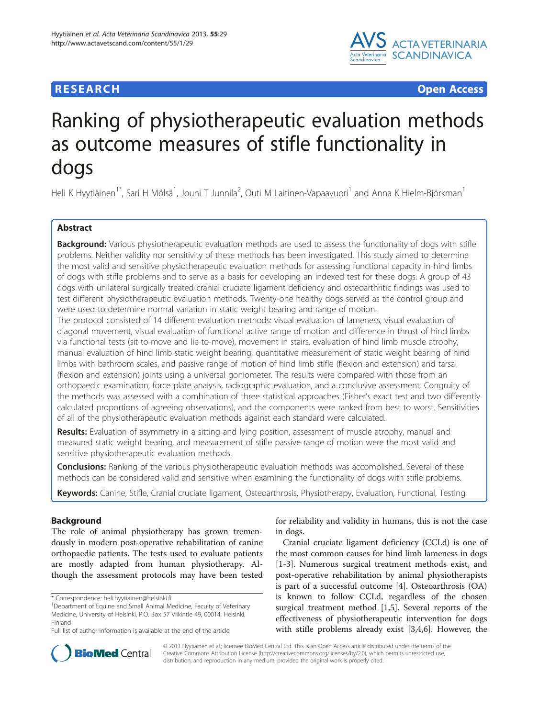# **RESEARCH CHE Open Access**



# Ranking of physiotherapeutic evaluation methods as outcome measures of stifle functionality in dogs

Heli K Hyytiäinen<sup>1\*</sup>, Sari H Mölsä<sup>1</sup>, Jouni T Junnila<sup>2</sup>, Outi M Laitinen-Vapaavuori<sup>1</sup> and Anna K Hielm-Björkman<sup>1</sup>

# Abstract

Background: Various physiotherapeutic evaluation methods are used to assess the functionality of dogs with stifle problems. Neither validity nor sensitivity of these methods has been investigated. This study aimed to determine the most valid and sensitive physiotherapeutic evaluation methods for assessing functional capacity in hind limbs of dogs with stifle problems and to serve as a basis for developing an indexed test for these dogs. A group of 43 dogs with unilateral surgically treated cranial cruciate ligament deficiency and osteoarthritic findings was used to test different physiotherapeutic evaluation methods. Twenty-one healthy dogs served as the control group and were used to determine normal variation in static weight bearing and range of motion.

The protocol consisted of 14 different evaluation methods: visual evaluation of lameness, visual evaluation of diagonal movement, visual evaluation of functional active range of motion and difference in thrust of hind limbs via functional tests (sit-to-move and lie-to-move), movement in stairs, evaluation of hind limb muscle atrophy, manual evaluation of hind limb static weight bearing, quantitative measurement of static weight bearing of hind limbs with bathroom scales, and passive range of motion of hind limb stifle (flexion and extension) and tarsal (flexion and extension) joints using a universal goniometer. The results were compared with those from an orthopaedic examination, force plate analysis, radiographic evaluation, and a conclusive assessment. Congruity of the methods was assessed with a combination of three statistical approaches (Fisher's exact test and two differently calculated proportions of agreeing observations), and the components were ranked from best to worst. Sensitivities of all of the physiotherapeutic evaluation methods against each standard were calculated.

Results: Evaluation of asymmetry in a sitting and lying position, assessment of muscle atrophy, manual and measured static weight bearing, and measurement of stifle passive range of motion were the most valid and sensitive physiotherapeutic evaluation methods.

**Conclusions:** Ranking of the various physiotherapeutic evaluation methods was accomplished. Several of these methods can be considered valid and sensitive when examining the functionality of dogs with stifle problems.

Keywords: Canine, Stifle, Cranial cruciate ligament, Osteoarthrosis, Physiotherapy, Evaluation, Functional, Testing

## Background

The role of animal physiotherapy has grown tremendously in modern post-operative rehabilitation of canine orthopaedic patients. The tests used to evaluate patients are mostly adapted from human physiotherapy. Although the assessment protocols may have been tested

for reliability and validity in humans, this is not the case in dogs.

Cranial cruciate ligament deficiency (CCLd) is one of the most common causes for hind limb lameness in dogs [[1-3](#page-7-0)]. Numerous surgical treatment methods exist, and post-operative rehabilitation by animal physiotherapists is part of a successful outcome [[4\]](#page-7-0). Osteoarthrosis (OA) is known to follow CCLd, regardless of the chosen surgical treatment method [\[1,5](#page-7-0)]. Several reports of the effectiveness of physiotherapeutic intervention for dogs with stifle problems already exist [\[3,4](#page-7-0)[,6](#page-8-0)]. However, the



© 2013 Hyytiäinen et al.; licensee BioMed Central Ltd. This is an Open Access article distributed under the terms of the Creative Commons Attribution License (<http://creativecommons.org/licenses/by/2.0>), which permits unrestricted use, distribution, and reproduction in any medium, provided the original work is properly cited.

<sup>\*</sup> Correspondence: [heli.hyytiainen@helsinki.fi](mailto:heli.hyytiainen@helsinki.fi) <sup>1</sup>

Department of Equine and Small Animal Medicine, Faculty of Veterinary Medicine, University of Helsinki, P.O. Box 57 Viikintie 49, 00014, Helsinki, Finland

Full list of author information is available at the end of the article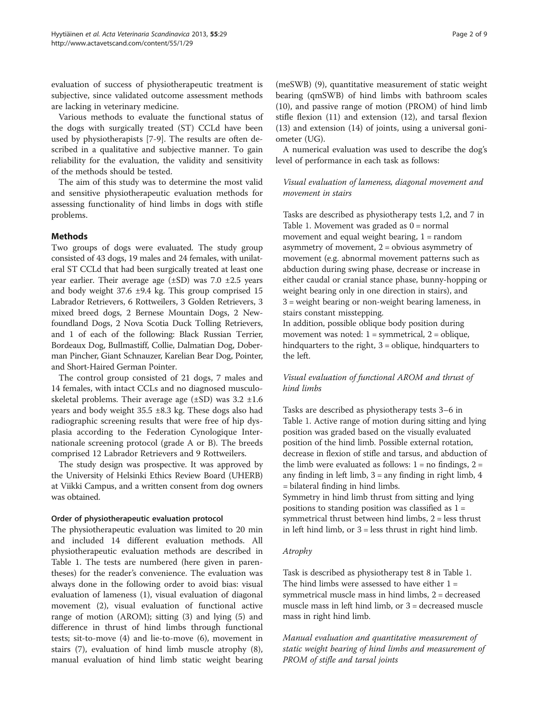evaluation of success of physiotherapeutic treatment is subjective, since validated outcome assessment methods are lacking in veterinary medicine.

Various methods to evaluate the functional status of the dogs with surgically treated (ST) CCLd have been used by physiotherapists [[7-9](#page-8-0)]. The results are often described in a qualitative and subjective manner. To gain reliability for the evaluation, the validity and sensitivity of the methods should be tested.

The aim of this study was to determine the most valid and sensitive physiotherapeutic evaluation methods for assessing functionality of hind limbs in dogs with stifle problems.

## Methods

Two groups of dogs were evaluated. The study group consisted of 43 dogs, 19 males and 24 females, with unilateral ST CCLd that had been surgically treated at least one year earlier. Their average age  $(\pm SD)$  was 7.0  $\pm 2.5$  years and body weight 37.6 ±9.4 kg. This group comprised 15 Labrador Retrievers, 6 Rottweilers, 3 Golden Retrievers, 3 mixed breed dogs, 2 Bernese Mountain Dogs, 2 Newfoundland Dogs, 2 Nova Scotia Duck Tolling Retrievers, and 1 of each of the following: Black Russian Terrier, Bordeaux Dog, Bullmastiff, Collie, Dalmatian Dog, Doberman Pincher, Giant Schnauzer, Karelian Bear Dog, Pointer, and Short-Haired German Pointer.

The control group consisted of 21 dogs, 7 males and 14 females, with intact CCLs and no diagnosed musculoskeletal problems. Their average age  $(\pm SD)$  was 3.2  $\pm 1.6$ years and body weight 35.5 ±8.3 kg. These dogs also had radiographic screening results that were free of hip dysplasia according to the Federation Cynologique Internationale screening protocol (grade A or B). The breeds comprised 12 Labrador Retrievers and 9 Rottweilers.

The study design was prospective. It was approved by the University of Helsinki Ethics Review Board (UHERB) at Viikki Campus, and a written consent from dog owners was obtained.

## Order of physiotherapeutic evaluation protocol

The physiotherapeutic evaluation was limited to 20 min and included 14 different evaluation methods. All physiotherapeutic evaluation methods are described in Table [1](#page-2-0). The tests are numbered (here given in parentheses) for the reader's convenience. The evaluation was always done in the following order to avoid bias: visual evaluation of lameness (1), visual evaluation of diagonal movement (2), visual evaluation of functional active range of motion (AROM); sitting (3) and lying (5) and difference in thrust of hind limbs through functional tests; sit-to-move (4) and lie-to-move (6), movement in stairs (7), evaluation of hind limb muscle atrophy (8), manual evaluation of hind limb static weight bearing

(meSWB) (9), quantitative measurement of static weight bearing (qmSWB) of hind limbs with bathroom scales (10), and passive range of motion (PROM) of hind limb stifle flexion (11) and extension (12), and tarsal flexion (13) and extension (14) of joints, using a universal goniometer (UG).

A numerical evaluation was used to describe the dog's level of performance in each task as follows:

# Visual evaluation of lameness, diagonal movement and movement in stairs

Tasks are described as physiotherapy tests 1,2, and 7 in Table [1](#page-2-0). Movement was graded as  $0 = normal$ movement and equal weight bearing,  $1 =$  random asymmetry of movement,  $2 =$  obvious asymmetry of movement (e.g. abnormal movement patterns such as abduction during swing phase, decrease or increase in either caudal or cranial stance phase, bunny-hopping or weight bearing only in one direction in stairs), and 3 = weight bearing or non-weight bearing lameness, in stairs constant misstepping.

In addition, possible oblique body position during movement was noted:  $1 =$  symmetrical,  $2 =$  oblique, hindquarters to the right, 3 = oblique, hindquarters to the left.

# Visual evaluation of functional AROM and thrust of hind limbs

Tasks are described as physiotherapy tests 3–6 in Table [1](#page-2-0). Active range of motion during sitting and lying position was graded based on the visually evaluated position of the hind limb. Possible external rotation, decrease in flexion of stifle and tarsus, and abduction of the limb were evaluated as follows:  $1 =$  no findings,  $2 =$ any finding in left limb,  $3 = \text{any}$  finding in right limb,  $4$ = bilateral finding in hind limbs. Symmetry in hind limb thrust from sitting and lying positions to standing position was classified as 1 =

symmetrical thrust between hind limbs, 2 = less thrust in left hind limb, or  $3 =$  less thrust in right hind limb.

#### Atrophy

Task is described as physiotherapy test 8 in Table [1](#page-2-0). The hind limbs were assessed to have either  $1 =$ symmetrical muscle mass in hind limbs, 2 = decreased muscle mass in left hind limb, or 3 = decreased muscle mass in right hind limb.

Manual evaluation and quantitative measurement of static weight bearing of hind limbs and measurement of PROM of stifle and tarsal joints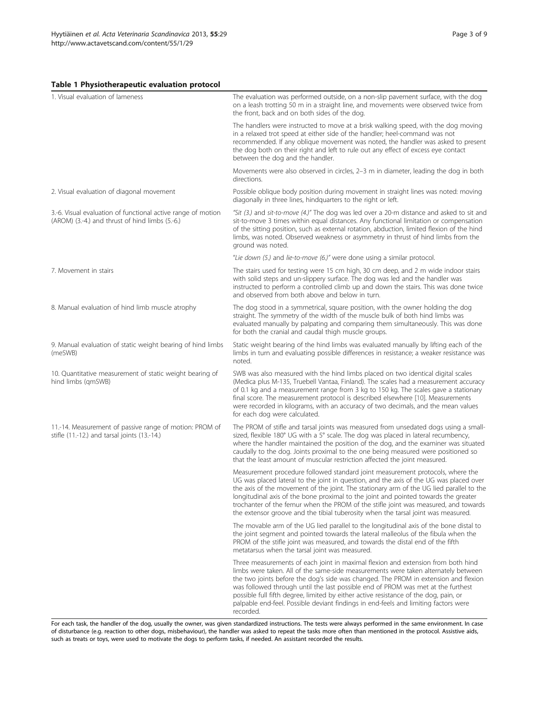#### Table 1 Physiotherapeutic evaluation protocol

<span id="page-2-0"></span>

| 1. Visual evaluation of lameness                             | The evaluation was performed outside, on a non-slip pavement surface, with the dog<br>on a leash trotting 50 m in a straight line, and movements were observed twice from<br>the front, back and on both sides of the dog.                                                                                                                                                     |
|--------------------------------------------------------------|--------------------------------------------------------------------------------------------------------------------------------------------------------------------------------------------------------------------------------------------------------------------------------------------------------------------------------------------------------------------------------|
|                                                              | The handlers were instructed to move at a brisk walking speed, with the dog moving<br>in a relaxed trot speed at either side of the handler; heel-command was not<br>recommended. If any oblique movement was noted, the handler was asked to present<br>the dog both on their right and left to rule out any effect of excess eye contact<br>between the dog and the handler. |
|                                                              | Movements were also observed in circles, 2–3 m in diameter, leading the dog in both<br>directions.                                                                                                                                                                                                                                                                             |
| 2. Visual evaluation of diagonal movement                    | Possible oblique body position during movement in straight lines was noted: moving<br>diagonally in three lines, hindquarters to the right or left.                                                                                                                                                                                                                            |
| 3.-6. Visual evaluation of functional active range of motion | "Sit $(3)$ and sit-to-move $(4)'$ The dog was led over a 20-m distance and asked to sit and                                                                                                                                                                                                                                                                                    |

sit-to-move 3 times within equal distances. Any functional limitation or compensation of the sitting position, such as external rotation, abduction, limited flexion of the hind limbs, was noted. Observed weakness or asymmetry in thrust of hind limbs from the

The stairs used for testing were 15 cm high, 30 cm deep, and 2 m wide indoor stairs with solid steps and un-slippery surface. The dog was led and the handler was instructed to perform a controlled climb up and down the stairs. This was done twice

straight. The symmetry of the width of the muscle bulk of both hind limbs was evaluated manually by palpating and comparing them simultaneously. This was done

Static weight bearing of the hind limbs was evaluated manually by lifting each of the limbs in turn and evaluating possible differences in resistance; a weaker resistance was

SWB was also measured with the hind limbs placed on two identical digital scales (Medica plus M-135, Truebell Vantaa, Finland). The scales had a measurement accuracy of 0.1 kg and a measurement range from 3 kg to 150 kg. The scales gave a stationary final score. The measurement protocol is described elsewhere [[10](#page-8-0)]. Measurements were recorded in kilograms, with an accuracy of two decimals, and the mean values

"Lie down (5.) and lie-to-move (6.)" were done using a similar protocol.

and observed from both above and below in turn.

for both the cranial and caudal thigh muscle groups.

3.-6. Visual evaluation of functional active range of motion (AROM) (3.-4.) and thrust of hind limbs (5.-6.)

noted.

for each dog were calculated.

ground was noted.

| 7 Movement in stairs |  |  |
|----------------------|--|--|

8. Manual evaluation of hind limb muscle atrophy The dog stood in a symmetrical, square position, with the owner holding the dog

9. Manual evaluation of static weight bearing of hind limbs (meSWB)

10. Quantitative measurement of static weight bearing of hind limbs (qmSWB)

11.-14. Measurement of passive range of motion: PROM of stifle (11.-12.) and tarsal joints (13.-14.)

The PROM of stifle and tarsal joints was measured from unsedated dogs using a smallsized, flexible 180° UG with a 5° scale. The dog was placed in lateral recumbency, where the handler maintained the position of the dog, and the examiner was situated caudally to the dog. Joints proximal to the one being measured were positioned so that the least amount of muscular restriction affected the joint measured.

Measurement procedure followed standard joint measurement protocols, where the UG was placed lateral to the joint in question, and the axis of the UG was placed over the axis of the movement of the joint. The stationary arm of the UG lied parallel to the longitudinal axis of the bone proximal to the joint and pointed towards the greater trochanter of the femur when the PROM of the stifle joint was measured, and towards the extensor groove and the tibial tuberosity when the tarsal joint was measured.

The movable arm of the UG lied parallel to the longitudinal axis of the bone distal to the joint segment and pointed towards the lateral malleolus of the fibula when the PROM of the stifle joint was measured, and towards the distal end of the fifth metatarsus when the tarsal joint was measured.

Three measurements of each joint in maximal flexion and extension from both hind limbs were taken. All of the same-side measurements were taken alternately between the two joints before the dog's side was changed. The PROM in extension and flexion was followed through until the last possible end of PROM was met at the furthest possible full fifth degree, limited by either active resistance of the dog, pain, or palpable end-feel. Possible deviant findings in end-feels and limiting factors were recorded.

For each task, the handler of the dog, usually the owner, was given standardized instructions. The tests were always performed in the same environment. In case of disturbance (e.g. reaction to other dogs, misbehaviour), the handler was asked to repeat the tasks more often than mentioned in the protocol. Assistive aids, such as treats or toys, were used to motivate the dogs to perform tasks, if needed. An assistant recorded the results.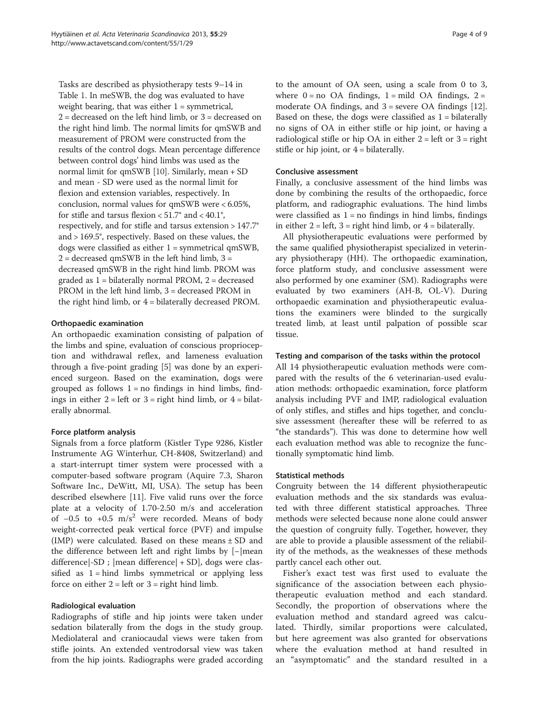Tasks are described as physiotherapy tests 9–14 in Table [1.](#page-2-0) In meSWB, the dog was evaluated to have weight bearing, that was either  $1 =$  symmetrical,  $2 =$  decreased on the left hind limb, or  $3 =$  decreased on the right hind limb. The normal limits for qmSWB and measurement of PROM were constructed from the results of the control dogs. Mean percentage difference between control dogs' hind limbs was used as the normal limit for qmSWB [\[10\]](#page-8-0). Similarly, mean + SD and mean - SD were used as the normal limit for flexion and extension variables, respectively. In conclusion, normal values for qmSWB were < 6.05%, for stifle and tarsus flexion  $< 51.7^{\circ}$  and  $< 40.1^{\circ}$ , respectively, and for stifle and tarsus extension > 147.7° and > 169.5°, respectively. Based on these values, the dogs were classified as either  $1 =$  symmetrical qmSWB,  $2 =$  decreased qmSWB in the left hind limb,  $3 =$ decreased qmSWB in the right hind limb. PROM was graded as 1 = bilaterally normal PROM, 2 = decreased PROM in the left hind limb, 3 = decreased PROM in the right hind limb, or 4 = bilaterally decreased PROM.

## Orthopaedic examination

An orthopaedic examination consisting of palpation of the limbs and spine, evaluation of conscious proprioception and withdrawal reflex, and lameness evaluation through a five-point grading [\[5](#page-7-0)] was done by an experienced surgeon. Based on the examination, dogs were grouped as follows  $1 = no$  findings in hind limbs, findings in either  $2 = left$  or  $3 = right$  hind limb, or  $4 = b$  ilaterally abnormal.

## Force platform analysis

Signals from a force platform (Kistler Type 9286, Kistler Instrumente AG Winterhur, CH-8408, Switzerland) and a start-interrupt timer system were processed with a computer-based software program (Aquire 7.3, Sharon Software Inc., DeWitt, MI, USA). The setup has been described elsewhere [\[11](#page-8-0)]. Five valid runs over the force plate at a velocity of 1.70-2.50 m/s and acceleration of  $-0.5$  to  $+0.5$  m/s<sup>2</sup> were recorded. Means of body weight-corrected peak vertical force (PVF) and impulse (IMP) were calculated. Based on these means ± SD and the difference between left and right limbs by [−|mean difference|-SD ; |mean difference| + SD], dogs were classified as  $1 =$  hind limbs symmetrical or applying less force on either  $2 = left$  or  $3 = right$  hind limb.

## Radiological evaluation

Radiographs of stifle and hip joints were taken under sedation bilaterally from the dogs in the study group. Mediolateral and craniocaudal views were taken from stifle joints. An extended ventrodorsal view was taken from the hip joints. Radiographs were graded according to the amount of OA seen, using a scale from 0 to 3, where  $0 = no$  OA findings,  $1 = mid$  OA findings,  $2 =$ moderate OA findings, and  $3$  = severe OA findings [\[12](#page-8-0)]. Based on these, the dogs were classified as  $1 = \text{bilaterally}$ no signs of OA in either stifle or hip joint, or having a radiological stifle or hip  $OA$  in either  $2 = left$  or  $3 = right$ stifle or hip joint, or  $4 = \text{bilaterally.}$ 

#### Conclusive assessment

Finally, a conclusive assessment of the hind limbs was done by combining the results of the orthopaedic, force platform, and radiographic evaluations. The hind limbs were classified as  $1 = no$  findings in hind limbs, findings in either  $2 = left$ ,  $3 = right$  hind limb, or  $4 = \text{bilaterally}$ .

All physiotherapeutic evaluations were performed by the same qualified physiotherapist specialized in veterinary physiotherapy (HH). The orthopaedic examination, force platform study, and conclusive assessment were also performed by one examiner (SM). Radiographs were evaluated by two examiners (AH-B, OL-V). During orthopaedic examination and physiotherapeutic evaluations the examiners were blinded to the surgically treated limb, at least until palpation of possible scar tissue.

#### Testing and comparison of the tasks within the protocol

All 14 physiotherapeutic evaluation methods were compared with the results of the 6 veterinarian-used evaluation methods: orthopaedic examination, force platform analysis including PVF and IMP, radiological evaluation of only stifles, and stifles and hips together, and conclusive assessment (hereafter these will be referred to as "the standards"). This was done to determine how well each evaluation method was able to recognize the functionally symptomatic hind limb.

#### Statistical methods

Congruity between the 14 different physiotherapeutic evaluation methods and the six standards was evaluated with three different statistical approaches. Three methods were selected because none alone could answer the question of congruity fully. Together, however, they are able to provide a plausible assessment of the reliability of the methods, as the weaknesses of these methods partly cancel each other out.

Fisher's exact test was first used to evaluate the significance of the association between each physiotherapeutic evaluation method and each standard. Secondly, the proportion of observations where the evaluation method and standard agreed was calculated. Thirdly, similar proportions were calculated, but here agreement was also granted for observations where the evaluation method at hand resulted in an "asymptomatic" and the standard resulted in a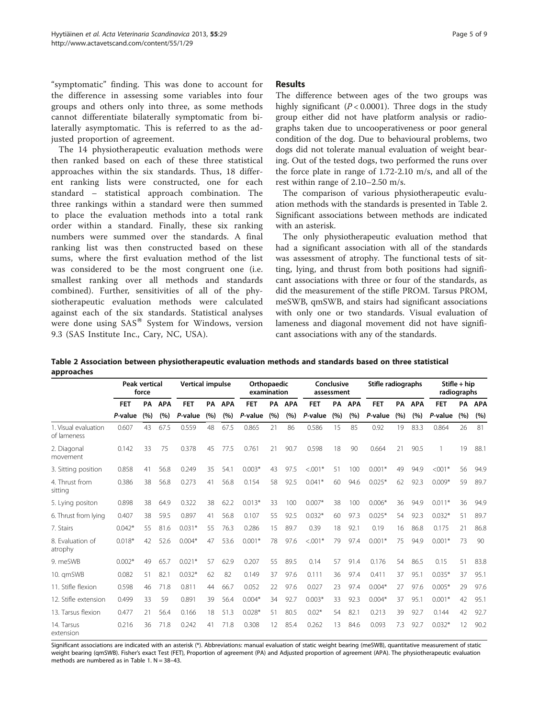"symptomatic" finding. This was done to account for the difference in assessing some variables into four groups and others only into three, as some methods cannot differentiate bilaterally symptomatic from bilaterally asymptomatic. This is referred to as the adjusted proportion of agreement.

The 14 physiotherapeutic evaluation methods were then ranked based on each of these three statistical approaches within the six standards. Thus, 18 different ranking lists were constructed, one for each standard – statistical approach combination. The three rankings within a standard were then summed to place the evaluation methods into a total rank order within a standard. Finally, these six ranking numbers were summed over the standards. A final ranking list was then constructed based on these sums, where the first evaluation method of the list was considered to be the most congruent one (i.e. smallest ranking over all methods and standards combined). Further, sensitivities of all of the physiotherapeutic evaluation methods were calculated against each of the six standards. Statistical analyses were done using  $SAS^{\otimes}$  System for Windows, version 9.3 (SAS Institute Inc., Cary, NC, USA).

#### Results

The difference between ages of the two groups was highly significant ( $P < 0.0001$ ). Three dogs in the study group either did not have platform analysis or radiographs taken due to uncooperativeness or poor general condition of the dog. Due to behavioural problems, two dogs did not tolerate manual evaluation of weight bearing. Out of the tested dogs, two performed the runs over the force plate in range of 1.72-2.10 m/s, and all of the rest within range of 2.10–2.50 m/s.

The comparison of various physiotherapeutic evaluation methods with the standards is presented in Table 2. Significant associations between methods are indicated with an asterisk.

The only physiotherapeutic evaluation method that had a significant association with all of the standards was assessment of atrophy. The functional tests of sitting, lying, and thrust from both positions had significant associations with three or four of the standards, as did the measurement of the stifle PROM. Tarsus PROM, meSWB, qmSWB, and stairs had significant associations with only one or two standards. Visual evaluation of lameness and diagonal movement did not have significant associations with any of the standards.

Table 2 Association between physiotherapeutic evaluation methods and standards based on three statistical approaches

|                                     | Peak vertical<br>force |       | <b>Vertical impulse</b> |            | Orthopaedic<br>examination |            | Conclusive<br>assessment |     | Stifle radiographs |            |     | Stifle $+$ hip<br>radiographs |            |       |            |            |     |            |
|-------------------------------------|------------------------|-------|-------------------------|------------|----------------------------|------------|--------------------------|-----|--------------------|------------|-----|-------------------------------|------------|-------|------------|------------|-----|------------|
|                                     | <b>FET</b>             | PA    | <b>APA</b>              | <b>FET</b> | PA                         | <b>APA</b> | <b>FET</b>               | PA  | <b>APA</b>         | <b>FET</b> | PA  | <b>APA</b>                    | <b>FET</b> | PA    | <b>APA</b> | <b>FET</b> | PA  | <b>APA</b> |
|                                     | P-value                | (9/6) | (%)                     | P-value    | (9/6)                      | (9/6)      | P-value                  | (%) | (9/6)              | P-value    | (%) | (9/6)                         | P-value    | (9/6) | (%)        | P-value    | (%) | (%)        |
| 1. Visual evaluation<br>of lameness | 0.607                  | 43    | 67.5                    | 0.559      | 48                         | 67.5       | 0.865                    | 21  | 86                 | 0.586      | 15  | 85                            | 0.92       | 19    | 83.3       | 0.864      | 26  | 81         |
| 2. Diagonal<br>movement             | 0.142                  | 33    | 75                      | 0.378      | 45                         | 77.5       | 0.761                    | 21  | 90.7               | 0.598      | 18  | 90                            | 0.664      | 21    | 90.5       |            | 19  | 88.1       |
| 3. Sitting position                 | 0.858                  | 41    | 56.8                    | 0.249      | 35                         | 54.1       | $0.003*$                 | 43  | 97.5               | $< 0.01*$  | 51  | 100                           | $0.001*$   | 49    | 94.9       | $< 001*$   | 56  | 94.9       |
| 4. Thrust from<br>sitting           | 0.386                  | 38    | 56.8                    | 0.273      | 41                         | 56.8       | 0.154                    | 58  | 92.5               | $0.041*$   | 60  | 94.6                          | $0.025*$   | 62    | 92.3       | $0.009*$   | 59  | 89.7       |
| 5. Lying positon                    | 0.898                  | 38    | 64.9                    | 0.322      | 38                         | 62.2       | $0.013*$                 | 33  | 100                | $0.007*$   | 38  | 100                           | $0.006*$   | 36    | 94.9       | $0.011*$   | 36  | 94.9       |
| 6. Thrust from lying                | 0.407                  | 38    | 59.5                    | 0.897      | 41                         | 56.8       | 0.107                    | 55  | 92.5               | $0.032*$   | 60  | 97.3                          | $0.025*$   | 54    | 92.3       | $0.032*$   | 51  | 89.7       |
| 7. Stairs                           | $0.042*$               | 55    | 81.6                    | $0.031*$   | 55                         | 76.3       | 0.286                    | 15  | 89.7               | 0.39       | 18  | 92.1                          | 0.19       | 16    | 86.8       | 0.175      | 21  | 86.8       |
| 8. Evaluation of<br>atrophy         | $0.018*$               | 42    | 52.6                    | $0.004*$   | 47                         | 53.6       | $0.001*$                 | 78  | 97.6               | $< 0.01*$  | 79  | 97.4                          | $0.001*$   | 75    | 94.9       | $0.001*$   | 73  | 90         |
| 9. meSWB                            | $0.002*$               | 49    | 65.7                    | $0.021*$   | 57                         | 62.9       | 0.207                    | 55  | 89.5               | 0.14       | 57  | 91.4                          | 0.176      | 54    | 86.5       | 0.15       | 51  | 83.8       |
| 10. gmSWB                           | 0.082                  | 51    | 82.1                    | $0.032*$   | 62                         | 82         | 0.149                    | 37  | 97.6               | 0.111      | 36  | 97.4                          | 0.411      | 37    | 95.1       | $0.035*$   | 37  | 95.1       |
| 11. Stifle flexion                  | 0.598                  | 46    | 71.8                    | 0.811      | 44                         | 66.7       | 0.052                    | 22  | 97.6               | 0.027      | 23  | 97.4                          | $0.004*$   | 27    | 97.6       | $0.005*$   | 29  | 97.6       |
| 12. Stifle extension                | 0.499                  | 33    | 59                      | 0.891      | 39                         | 56.4       | $0.004*$                 | 34  | 92.7               | $0.003*$   | 33  | 92.3                          | $0.004*$   | 37    | 95.1       | $0.001*$   | 42  | 95.1       |
| 13. Tarsus flexion                  | 0.477                  | 21    | 56.4                    | 0.166      | 18                         | 51.3       | $0.028*$                 | 51  | 80.5               | $0.02*$    | 54  | 82.1                          | 0.213      | 39    | 92.7       | 0.144      | 42  | 92.7       |
| 14. Tarsus<br>extension             | 0.216                  | 36    | 71.8                    | 0.242      | 41                         | 71.8       | 0.308                    | 12  | 85.4               | 0.262      | 13  | 84.6                          | 0.093      | 7.3   | 92.7       | $0.032*$   | 12  | 90.2       |

Significant associations are indicated with an asterisk (\*). Abbreviations: manual evaluation of static weight bearing (meSWB), quantitative measurement of static weight bearing (qmSWB). Fisher's exact Test (FET), Proportion of agreement (PA) and Adjusted proportion of agreement (APA). The physiotherapeutic evaluation methods are numbered as in Table 1.  $N = 38-43$ .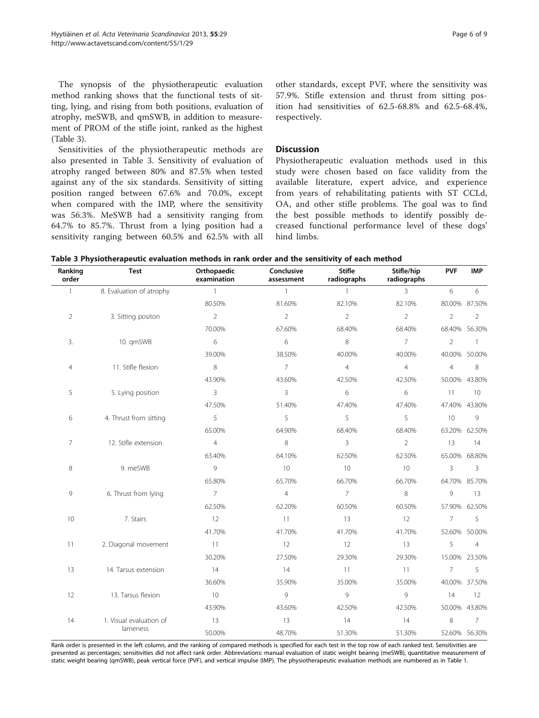The synopsis of the physiotherapeutic evaluation method ranking shows that the functional tests of sitting, lying, and rising from both positions, evaluation of atrophy, meSWB, and qmSWB, in addition to measurement of PROM of the stifle joint, ranked as the highest (Table 3).

Sensitivities of the physiotherapeutic methods are also presented in Table 3. Sensitivity of evaluation of atrophy ranged between 80% and 87.5% when tested against any of the six standards. Sensitivity of sitting position ranged between 67.6% and 70.0%, except when compared with the IMP, where the sensitivity was 56.3%. MeSWB had a sensitivity ranging from 64.7% to 85.7%. Thrust from a lying position had a sensitivity ranging between 60.5% and 62.5% with all

other standards, except PVF, where the sensitivity was 57.9%. Stifle extension and thrust from sitting position had sensitivities of 62.5-68.8% and 62.5-68.4%, respectively.

#### **Discussion**

Physiotherapeutic evaluation methods used in this study were chosen based on face validity from the available literature, expert advice, and experience from years of rehabilitating patients with ST CCLd, OA, and other stifle problems. The goal was to find the best possible methods to identify possibly decreased functional performance level of these dogs' hind limbs.

| Table 3 Physiotherapeutic evaluation methods in rank order and the sensitivity of each method |  |  |  |  |  |  |
|-----------------------------------------------------------------------------------------------|--|--|--|--|--|--|
|-----------------------------------------------------------------------------------------------|--|--|--|--|--|--|

| Ranking<br>order | <b>Test</b>              | Orthopaedic<br>examination | Conclusive<br>assessment | <b>Stifle</b><br>radiographs | Stifle/hip<br>radiographs | <b>PVF</b>     | <b>IMP</b>     |
|------------------|--------------------------|----------------------------|--------------------------|------------------------------|---------------------------|----------------|----------------|
| $\mathbf{1}$     | 8. Evaluation of atrophy | $\mathbf{1}$               | $\mathbf{1}$             | $\mathbf{1}$                 | $\overline{3}$            | 6              | 6              |
|                  |                          | 80.50%                     | 81.60%                   | 82.10%                       | 82.10%                    |                | 80.00% 87.50%  |
| $\overline{2}$   | 3. Sitting positon       | $\overline{2}$             | $\overline{2}$           | $\overline{2}$               | $\overline{2}$            | $\overline{2}$ | $\overline{2}$ |
|                  |                          | 70.00%                     | 67.60%                   | 68.40%                       | 68.40%                    |                | 68.40% 56.30%  |
| 3.               | 10. qmSWB                | 6                          | 6                        | 8                            | $\overline{7}$            | $\overline{2}$ | $\mathbf{1}$   |
|                  |                          | 39.00%                     | 38.50%                   | 40.00%                       | 40.00%                    |                | 40.00% 50.00%  |
| $\overline{4}$   | 11. Stifle flexion       | $\,8\,$                    | $\overline{7}$           | $\overline{4}$               | $\overline{4}$            | $\overline{4}$ | 8              |
|                  |                          | 43.90%                     | 43.60%                   | 42.50%                       | 42.50%                    |                | 50.00% 43.80%  |
| 5                | 5. Lying position        | 3                          | $\overline{3}$           | 6                            | 6                         | 11             | 10             |
|                  |                          | 47.50%                     | 51.40%                   | 47.40%                       | 47.40%                    |                | 47.40% 43.80%  |
| 6                | 4. Thrust from sitting   | 5                          | 5                        | 5                            | 5                         | 10             | 9              |
|                  |                          | 65.00%                     | 64.90%                   | 68.40%                       | 68.40%                    |                | 63.20% 62.50%  |
| $\overline{7}$   | 12. Stifle extension     | $\overline{4}$             | 8                        | 3                            | $\overline{2}$            | 13             | 14             |
|                  |                          | 63.40%                     | 64.10%                   | 62.50%                       | 62.50%                    |                | 65.00% 68.80%  |
| 8                | 9. meSWB                 | 9                          | 10                       | 10                           | 10                        | $\overline{3}$ | 3              |
|                  |                          | 65.80%                     | 65.70%                   | 66.70%                       | 66.70%                    |                | 64.70% 85.70%  |
| 9                | 6. Thrust from lying     | $\overline{7}$             | $\overline{4}$           | $\overline{7}$               | 8                         | 9              | 13             |
|                  |                          | 62.50%                     | 62.20%                   | 60.50%                       | 60.50%                    |                | 57.90% 62.50%  |
| 10               | 7. Stairs                | 12                         | 11                       | 13                           | 12                        | $\overline{7}$ | 5              |
|                  |                          | 41.70%                     | 41.70%                   | 41.70%                       | 41.70%                    |                | 52.60% 50.00%  |
| 11               | 2. Diagonal movement     | 11                         | 12                       | 12                           | 13                        | 5              | $\overline{4}$ |
|                  |                          | 30.20%                     | 27.50%                   | 29.30%                       | 29.30%                    |                | 15.00% 23.50%  |
| 13               | 14. Tarsus extension     | 14                         | 14                       | 11                           | 11                        | $\overline{7}$ | 5              |
|                  |                          | 36.60%                     | 35.90%                   | 35.00%                       | 35.00%                    |                | 40.00% 37.50%  |
| 12               | 13. Tarsus flexion       | 10                         | 9                        | 9                            | 9                         | 14             | 12             |
|                  |                          | 43.90%                     | 43.60%                   | 42.50%                       | 42.50%                    |                | 50.00% 43.80%  |
| 14               | 1. Visual evaluation of  | 13                         | 13                       | 14                           | 14                        | 8              | $\overline{7}$ |
|                  | lameness                 | 50.00%                     | 48.70%                   | 51.30%                       | 51.30%                    |                | 52.60% 56.30%  |

Rank order is presented in the left column, and the ranking of compared methods is specified for each test in the top row of each ranked test. Sensitivities are presented as percentages; sensitivities did not affect rank order. Abbreviations: manual evaluation of static weight bearing (meSWB), quantitative measurement of static weight bearing (qmSWB), peak vertical force (PVF), and vertical impulse (IMP). The physiotherapeutic evaluation methods are numbered as in Table [1](#page-2-0).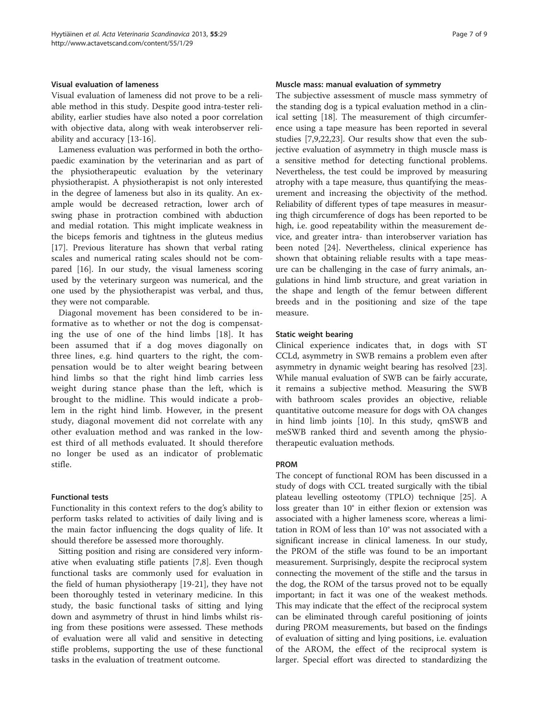#### Visual evaluation of lameness

Visual evaluation of lameness did not prove to be a reliable method in this study. Despite good intra-tester reliability, earlier studies have also noted a poor correlation with objective data, along with weak interobserver reliability and accuracy [[13-16](#page-8-0)].

Lameness evaluation was performed in both the orthopaedic examination by the veterinarian and as part of the physiotherapeutic evaluation by the veterinary physiotherapist. A physiotherapist is not only interested in the degree of lameness but also in its quality. An example would be decreased retraction, lower arch of swing phase in protraction combined with abduction and medial rotation. This might implicate weakness in the biceps femoris and tightness in the gluteus medius [[17\]](#page-8-0). Previous literature has shown that verbal rating scales and numerical rating scales should not be compared [\[16\]](#page-8-0). In our study, the visual lameness scoring used by the veterinary surgeon was numerical, and the one used by the physiotherapist was verbal, and thus, they were not comparable.

Diagonal movement has been considered to be informative as to whether or not the dog is compensating the use of one of the hind limbs [[18](#page-8-0)]. It has been assumed that if a dog moves diagonally on three lines, e.g. hind quarters to the right, the compensation would be to alter weight bearing between hind limbs so that the right hind limb carries less weight during stance phase than the left, which is brought to the midline. This would indicate a problem in the right hind limb. However, in the present study, diagonal movement did not correlate with any other evaluation method and was ranked in the lowest third of all methods evaluated. It should therefore no longer be used as an indicator of problematic stifle.

#### Functional tests

Functionality in this context refers to the dog's ability to perform tasks related to activities of daily living and is the main factor influencing the dogs quality of life. It should therefore be assessed more thoroughly.

Sitting position and rising are considered very informative when evaluating stifle patients [[7,8\]](#page-8-0). Even though functional tasks are commonly used for evaluation in the field of human physiotherapy [[19-21](#page-8-0)], they have not been thoroughly tested in veterinary medicine. In this study, the basic functional tasks of sitting and lying down and asymmetry of thrust in hind limbs whilst rising from these positions were assessed. These methods of evaluation were all valid and sensitive in detecting stifle problems, supporting the use of these functional tasks in the evaluation of treatment outcome.

#### Muscle mass: manual evaluation of symmetry

The subjective assessment of muscle mass symmetry of the standing dog is a typical evaluation method in a clinical setting [[18\]](#page-8-0). The measurement of thigh circumference using a tape measure has been reported in several studies [\[7,9,22,23\]](#page-8-0). Our results show that even the subjective evaluation of asymmetry in thigh muscle mass is a sensitive method for detecting functional problems. Nevertheless, the test could be improved by measuring atrophy with a tape measure, thus quantifying the measurement and increasing the objectivity of the method. Reliability of different types of tape measures in measuring thigh circumference of dogs has been reported to be high, i.e. good repeatability within the measurement device, and greater intra- than interobserver variation has been noted [\[24](#page-8-0)]. Nevertheless, clinical experience has shown that obtaining reliable results with a tape measure can be challenging in the case of furry animals, angulations in hind limb structure, and great variation in the shape and length of the femur between different breeds and in the positioning and size of the tape measure.

#### Static weight bearing

Clinical experience indicates that, in dogs with ST CCLd, asymmetry in SWB remains a problem even after asymmetry in dynamic weight bearing has resolved [\[23](#page-8-0)]. While manual evaluation of SWB can be fairly accurate, it remains a subjective method. Measuring the SWB with bathroom scales provides an objective, reliable quantitative outcome measure for dogs with OA changes in hind limb joints [\[10\]](#page-8-0). In this study, qmSWB and meSWB ranked third and seventh among the physiotherapeutic evaluation methods.

#### PROM

The concept of functional ROM has been discussed in a study of dogs with CCL treated surgically with the tibial plateau levelling osteotomy (TPLO) technique [\[25](#page-8-0)]. A loss greater than 10° in either flexion or extension was associated with a higher lameness score, whereas a limitation in ROM of less than 10° was not associated with a significant increase in clinical lameness. In our study, the PROM of the stifle was found to be an important measurement. Surprisingly, despite the reciprocal system connecting the movement of the stifle and the tarsus in the dog, the ROM of the tarsus proved not to be equally important; in fact it was one of the weakest methods. This may indicate that the effect of the reciprocal system can be eliminated through careful positioning of joints during PROM measurements, but based on the findings of evaluation of sitting and lying positions, i.e. evaluation of the AROM, the effect of the reciprocal system is larger. Special effort was directed to standardizing the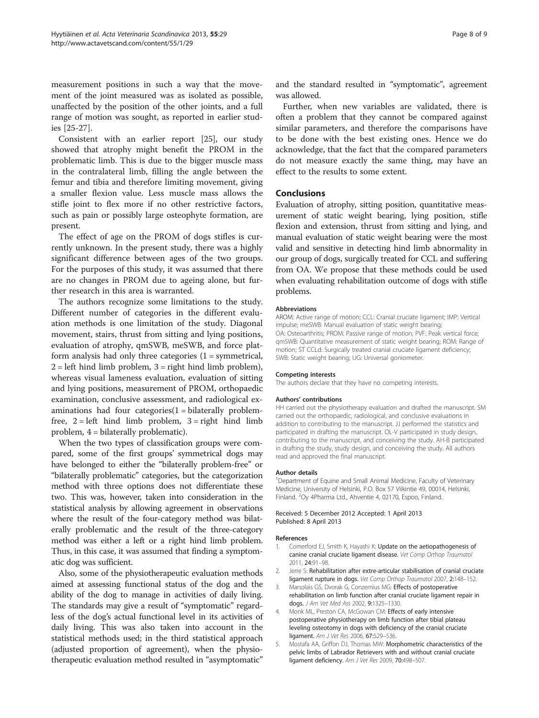<span id="page-7-0"></span>measurement positions in such a way that the movement of the joint measured was as isolated as possible, unaffected by the position of the other joints, and a full range of motion was sought, as reported in earlier studies [[25](#page-8-0)-[27\]](#page-8-0).

Consistent with an earlier report [\[25](#page-8-0)], our study showed that atrophy might benefit the PROM in the problematic limb. This is due to the bigger muscle mass in the contralateral limb, filling the angle between the femur and tibia and therefore limiting movement, giving a smaller flexion value. Less muscle mass allows the stifle joint to flex more if no other restrictive factors, such as pain or possibly large osteophyte formation, are present.

The effect of age on the PROM of dogs stifles is currently unknown. In the present study, there was a highly significant difference between ages of the two groups. For the purposes of this study, it was assumed that there are no changes in PROM due to ageing alone, but further research in this area is warranted.

The authors recognize some limitations to the study. Different number of categories in the different evaluation methods is one limitation of the study. Diagonal movement, stairs, thrust from sitting and lying positions, evaluation of atrophy, qmSWB, meSWB, and force platform analysis had only three categories  $(1 =$  symmetrical,  $2 = left$  hind limb problem,  $3 = right$  hind limb problem), whereas visual lameness evaluation, evaluation of sitting and lying positions, measurement of PROM, orthopaedic examination, conclusive assessment, and radiological examinations had four categories $(1 - \text{bilaterally problem} - \text{cilinear})$ free,  $2 = left$  hind limb problem,  $3 = right$  hind limb problem, 4 = bilaterally problematic).

When the two types of classification groups were compared, some of the first groups' symmetrical dogs may have belonged to either the "bilaterally problem-free" or "bilaterally problematic" categories, but the categorization method with three options does not differentiate these two. This was, however, taken into consideration in the statistical analysis by allowing agreement in observations where the result of the four-category method was bilaterally problematic and the result of the three-category method was either a left or a right hind limb problem. Thus, in this case, it was assumed that finding a symptomatic dog was sufficient.

Also, some of the physiotherapeutic evaluation methods aimed at assessing functional status of the dog and the ability of the dog to manage in activities of daily living. The standards may give a result of "symptomatic" regardless of the dog's actual functional level in its activities of daily living. This was also taken into account in the statistical methods used; in the third statistical approach (adjusted proportion of agreement), when the physiotherapeutic evaluation method resulted in "asymptomatic"

and the standard resulted in "symptomatic", agreement was allowed.

Further, when new variables are validated, there is often a problem that they cannot be compared against similar parameters, and therefore the comparisons have to be done with the best existing ones. Hence we do acknowledge, that the fact that the compared parameters do not measure exactly the same thing, may have an effect to the results to some extent.

#### **Conclusions**

Evaluation of atrophy, sitting position, quantitative measurement of static weight bearing, lying position, stifle flexion and extension, thrust from sitting and lying, and manual evaluation of static weight bearing were the most valid and sensitive in detecting hind limb abnormality in our group of dogs, surgically treated for CCL and suffering from OA. We propose that these methods could be used when evaluating rehabilitation outcome of dogs with stifle problems.

#### Abbreviations

AROM: Active range of motion; CCL: Cranial cruciate ligament; IMP: Vertical impulse; meSWB: Manual evaluation of static weight bearing; OA: Osteoarthritis; PROM: Passive range of motion; PVF: Peak vertical force; qmSWB: Quantitative measurement of static weight bearing; ROM: Range of motion; ST CCLd: Surgically treated cranial cruciate ligament deficiency; SWB: Static weight bearing; UG: Universal goniometer.

#### Competing interests

The authors declare that they have no competing interests.

#### Authors' contributions

HH carried out the physiotherapy evaluation and drafted the manuscript. SM carried out the orthopaedic, radiological, and conclusive evaluations in addition to contributing to the manuscript. JJ performed the statistics and participated in drafting the manuscript. OL-V participated in study design, contributing to the manuscript, and conceiving the study. AH-B participated in drafting the study, study design, and conceiving the study. All authors read and approved the final manuscript.

#### Author details

<sup>1</sup>Department of Equine and Small Animal Medicine, Faculty of Veterinary Medicine, University of Helsinki, P.O. Box 57 Viikintie 49, 00014, Helsinki, Finland. <sup>2</sup>Oy 4Pharma Ltd., Ahventie 4, 02170, Espoo, Finland

Received: 5 December 2012 Accepted: 1 April 2013 Published: 8 April 2013

#### References

- 1. Comerford EJ, Smith K, Hayashi K: Update on the aetiopathogenesis of canine cranial cruciate ligament disease. Vet Comp Orthop Traumatol 2011, 24:91–98.
- 2. Jerre S: Rehabilitation after extre-articular stabilisation of cranial cruciate ligament rupture in dogs. Vet Comp Orthop Traumatol 2007, 2:148–152.
- 3. Marsolais GS, Dvorak G, Conzemius MG: Effects of postoperative rehabilitation on limb function after cranial cruciate ligament repair in dogs. J Am Vet Med Ass 2002, 9:1325–1330.
- 4. Monk ML, Preston CA, McGowan CM: Effects of early intensive postoperative physiotherapy on limb function after tibial plateau leveling osteotomy in dogs with deficiency of the cranial cruciate ligament. Am J Vet Res 2006, 67:529–536.
- 5. Mostafa AA, Griffon DJ, Thomas MW: Morphometric characteristics of the pelvic limbs of Labrador Retrievers with and without cranial cruciate ligament deficiency. Am J Vet Res 2009, 70:498–507.